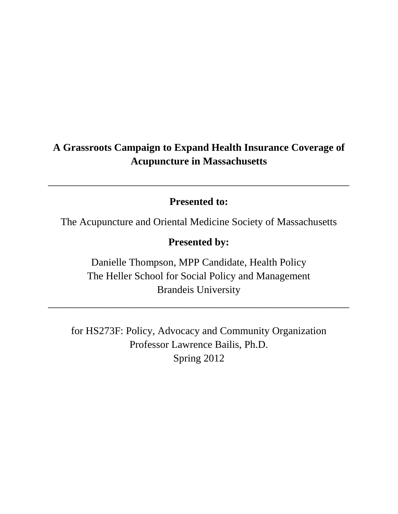# **A Grassroots Campaign to Expand Health Insurance Coverage of Acupuncture in Massachusetts**

# **Presented to:**

*\_\_\_\_\_\_\_\_\_\_\_\_\_\_\_\_\_\_\_\_\_\_\_\_\_\_\_\_\_\_\_\_\_\_\_\_\_\_\_\_\_\_\_\_\_\_\_\_\_\_\_\_\_\_\_\_\_\_*

The Acupuncture and Oriental Medicine Society of Massachusetts

# **Presented by:**

Danielle Thompson, MPP Candidate, Health Policy The Heller School for Social Policy and Management Brandeis University

\_\_\_\_\_\_\_\_\_\_\_\_\_\_\_\_\_\_\_\_\_\_\_\_\_\_\_\_\_\_\_\_\_\_\_\_\_\_\_\_\_\_\_\_\_\_\_\_\_\_\_\_\_\_\_\_\_\_

for HS273F: Policy, Advocacy and Community Organization Professor Lawrence Bailis, Ph.D. Spring 2012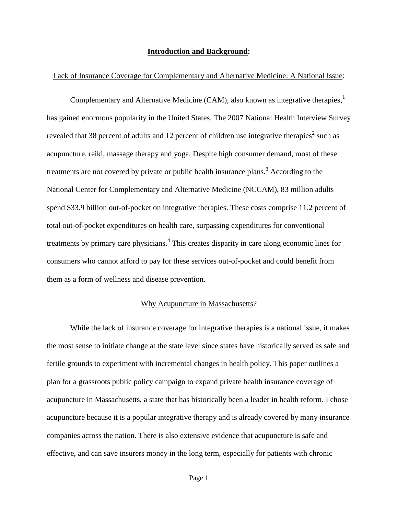#### **Introduction and Background:**

### Lack of Insurance Coverage for Complementary and Alternative Medicine: A National Issue:

Complementary and Alternative Medicine (CAM), also known as integrative therapies,<sup>1</sup> has gained enormous popularity in the United States. The 2007 National Health Interview Survey revealed that 38 percent of adults and 12 percent of children use integrative therapies<sup>2</sup> such as acupuncture, reiki, massage therapy and yoga. Despite high consumer demand, most of these treatments are not covered by private or public health insurance plans.<sup>3</sup> According to the National Center for Complementary and Alternative Medicine (NCCAM), 83 million adults spend \$33.9 billion out-of-pocket on integrative therapies. These costs comprise 11.2 percent of total out-of-pocket expenditures on health care, surpassing expenditures for conventional treatments by primary care physicians.<sup>4</sup> This creates disparity in care along economic lines for consumers who cannot afford to pay for these services out-of-pocket and could benefit from them as a form of wellness and disease prevention.

### Why Acupuncture in Massachusetts?

While the lack of insurance coverage for integrative therapies is a national issue, it makes the most sense to initiate change at the state level since states have historically served as safe and fertile grounds to experiment with incremental changes in health policy. This paper outlines a plan for a grassroots public policy campaign to expand private health insurance coverage of acupuncture in Massachusetts, a state that has historically been a leader in health reform. I chose acupuncture because it is a popular integrative therapy and is already covered by many insurance companies across the nation. There is also extensive evidence that acupuncture is safe and effective, and can save insurers money in the long term, especially for patients with chronic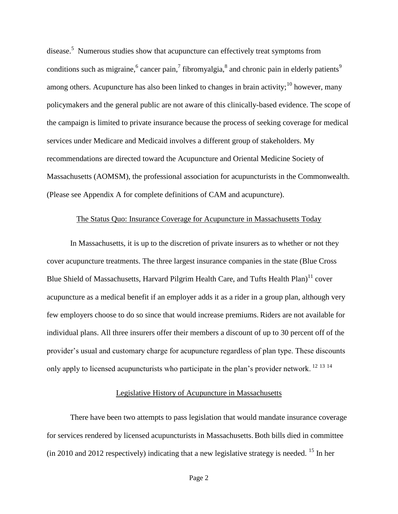disease.<sup>5</sup> Numerous studies show that acupuncture can effectively treat symptoms from conditions such as migraine,  $6$  cancer pain,  $7$  fibromyalgia,  $8$  and chronic pain in elderly patients  $9$ among others. Acupuncture has also been linked to changes in brain activity;<sup>10</sup> however, many policymakers and the general public are not aware of this clinically-based evidence. The scope of the campaign is limited to private insurance because the process of seeking coverage for medical services under Medicare and Medicaid involves a different group of stakeholders. My recommendations are directed toward the Acupuncture and Oriental Medicine Society of Massachusetts (AOMSM), the professional association for acupuncturists in the Commonwealth. (Please see Appendix A for complete definitions of CAM and acupuncture).

### The Status Quo: Insurance Coverage for Acupuncture in Massachusetts Today

In Massachusetts, it is up to the discretion of private insurers as to whether or not they cover acupuncture treatments. The three largest insurance companies in the state (Blue Cross Blue Shield of Massachusetts, Harvard Pilgrim Health Care, and Tufts Health Plan) $^{11}$  cover acupuncture as a medical benefit if an employer adds it as a rider in a group plan, although very few employers choose to do so since that would increase premiums. Riders are not available for individual plans. All three insurers offer their members a discount of up to 30 percent off of the provider's usual and customary charge for acupuncture regardless of plan type. These discounts only apply to licensed acupuncturists who participate in the plan's provider network.<sup>12 13 14</sup>

## Legislative History of Acupuncture in Massachusetts

There have been two attempts to pass legislation that would mandate insurance coverage for services rendered by licensed acupuncturists in Massachusetts. Both bills died in committee (in 2010 and 2012 respectively) indicating that a new legislative strategy is needed. <sup>15</sup> In her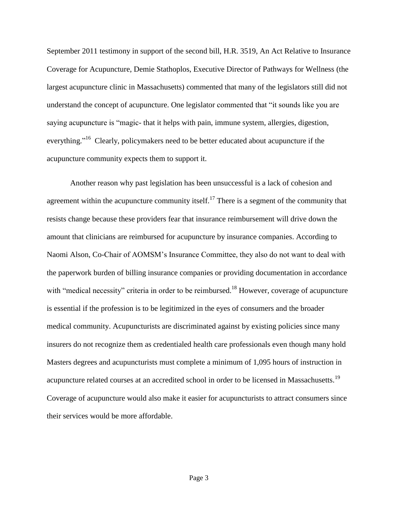September 2011 testimony in support of the second bill, H.R. 3519, An Act Relative to Insurance Coverage for Acupuncture, Demie Stathoplos, Executive Director of Pathways for Wellness (the largest acupuncture clinic in Massachusetts) commented that many of the legislators still did not understand the concept of acupuncture. One legislator commented that "it sounds like you are saying acupuncture is "magic- that it helps with pain, immune system, allergies, digestion, everything."<sup>16</sup> Clearly, policymakers need to be better educated about acupuncture if the acupuncture community expects them to support it.

Another reason why past legislation has been unsuccessful is a lack of cohesion and agreement within the acupuncture community itself.<sup>17</sup> There is a segment of the community that resists change because these providers fear that insurance reimbursement will drive down the amount that clinicians are reimbursed for acupuncture by insurance companies. According to Naomi Alson, Co-Chair of AOMSM's Insurance Committee, they also do not want to deal with the paperwork burden of billing insurance companies or providing documentation in accordance with "medical necessity" criteria in order to be reimbursed.<sup>18</sup> However, coverage of acupuncture is essential if the profession is to be legitimized in the eyes of consumers and the broader medical community. Acupuncturists are discriminated against by existing policies since many insurers do not recognize them as credentialed health care professionals even though many hold Masters degrees and acupuncturists must complete a minimum of 1,095 hours of instruction in acupuncture related courses at an accredited school in order to be licensed in Massachusetts.<sup>19</sup> Coverage of acupuncture would also make it easier for acupuncturists to attract consumers since their services would be more affordable.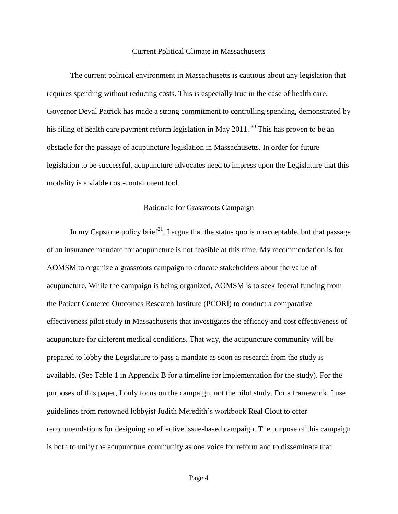#### Current Political Climate in Massachusetts

The current political environment in Massachusetts is cautious about any legislation that requires spending without reducing costs. This is especially true in the case of health care. Governor Deval Patrick has made a strong commitment to controlling spending, demonstrated by his filing of health care payment reform legislation in May 2011. <sup>20</sup> This has proven to be an obstacle for the passage of acupuncture legislation in Massachusetts. In order for future legislation to be successful, acupuncture advocates need to impress upon the Legislature that this modality is a viable cost-containment tool.

#### Rationale for Grassroots Campaign

In my Capstone policy brief<sup>21</sup>, I argue that the status quo is unacceptable, but that passage of an insurance mandate for acupuncture is not feasible at this time. My recommendation is for AOMSM to organize a grassroots campaign to educate stakeholders about the value of acupuncture. While the campaign is being organized, AOMSM is to seek federal funding from the Patient Centered Outcomes Research Institute (PCORI) to conduct a comparative effectiveness pilot study in Massachusetts that investigates the efficacy and cost effectiveness of acupuncture for different medical conditions. That way, the acupuncture community will be prepared to lobby the Legislature to pass a mandate as soon as research from the study is available. (See Table 1 in Appendix B for a timeline for implementation for the study). For the purposes of this paper, I only focus on the campaign, not the pilot study. For a framework, I use guidelines from renowned lobbyist Judith Meredith's workbook Real Clout to offer recommendations for designing an effective issue-based campaign. The purpose of this campaign is both to unify the acupuncture community as one voice for reform and to disseminate that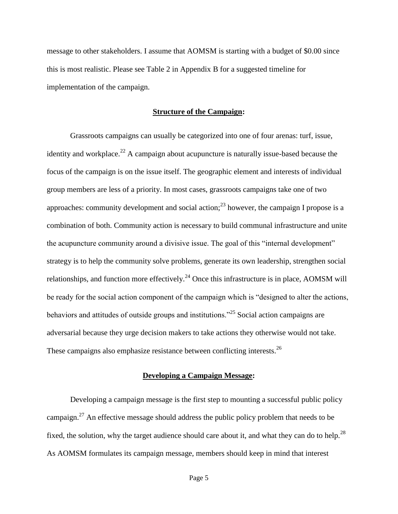message to other stakeholders. I assume that AOMSM is starting with a budget of \$0.00 since this is most realistic. Please see Table 2 in Appendix B for a suggested timeline for implementation of the campaign.

#### **Structure of the Campaign:**

Grassroots campaigns can usually be categorized into one of four arenas: turf, issue, identity and workplace.<sup>22</sup> A campaign about acupuncture is naturally issue-based because the focus of the campaign is on the issue itself. The geographic element and interests of individual group members are less of a priority. In most cases, grassroots campaigns take one of two approaches: community development and social action;  $2<sup>3</sup>$  however, the campaign I propose is a combination of both. Community action is necessary to build communal infrastructure and unite the acupuncture community around a divisive issue. The goal of this "internal development" strategy is to help the community solve problems, generate its own leadership, strengthen social relationships, and function more effectively.<sup>24</sup> Once this infrastructure is in place, AOMSM will be ready for the social action component of the campaign which is "designed to alter the actions, behaviors and attitudes of outside groups and institutions.<sup>25</sup> Social action campaigns are adversarial because they urge decision makers to take actions they otherwise would not take. These campaigns also emphasize resistance between conflicting interests.<sup>26</sup>

#### **Developing a Campaign Message:**

Developing a campaign message is the first step to mounting a successful public policy campaign. $27$  An effective message should address the public policy problem that needs to be fixed, the solution, why the target audience should care about it, and what they can do to help.<sup>28</sup> As AOMSM formulates its campaign message, members should keep in mind that interest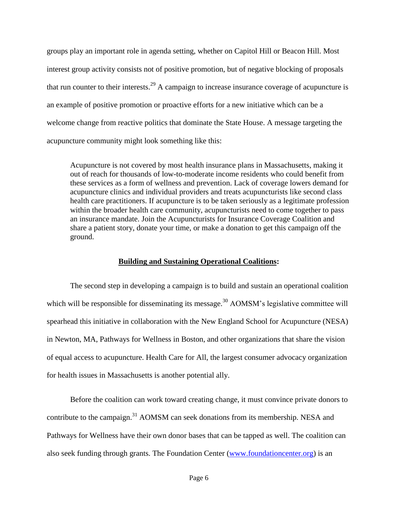groups play an important role in agenda setting, whether on Capitol Hill or Beacon Hill. Most interest group activity consists not of positive promotion, but of negative blocking of proposals that run counter to their interests.<sup>29</sup> A campaign to increase insurance coverage of acupuncture is an example of positive promotion or proactive efforts for a new initiative which can be a welcome change from reactive politics that dominate the State House. A message targeting the acupuncture community might look something like this:

Acupuncture is not covered by most health insurance plans in Massachusetts, making it out of reach for thousands of low-to-moderate income residents who could benefit from these services as a form of wellness and prevention. Lack of coverage lowers demand for acupuncture clinics and individual providers and treats acupuncturists like second class health care practitioners. If acupuncture is to be taken seriously as a legitimate profession within the broader health care community, acupuncturists need to come together to pass an insurance mandate. Join the Acupuncturists for Insurance Coverage Coalition and share a patient story, donate your time, or make a donation to get this campaign off the ground.

## **Building and Sustaining Operational Coalitions:**

The second step in developing a campaign is to build and sustain an operational coalition which will be responsible for disseminating its message.<sup>30</sup> AOMSM's legislative committee will spearhead this initiative in collaboration with the New England School for Acupuncture (NESA) in Newton, MA, Pathways for Wellness in Boston, and other organizations that share the vision of equal access to acupuncture. Health Care for All, the largest consumer advocacy organization for health issues in Massachusetts is another potential ally.

Before the coalition can work toward creating change, it must convince private donors to contribute to the campaign.<sup>31</sup> AOMSM can seek donations from its membership. NESA and Pathways for Wellness have their own donor bases that can be tapped as well. The coalition can also seek funding through grants. The Foundation Center [\(www.foundationcenter.org\)](http://www.foundationcenter.org/) is an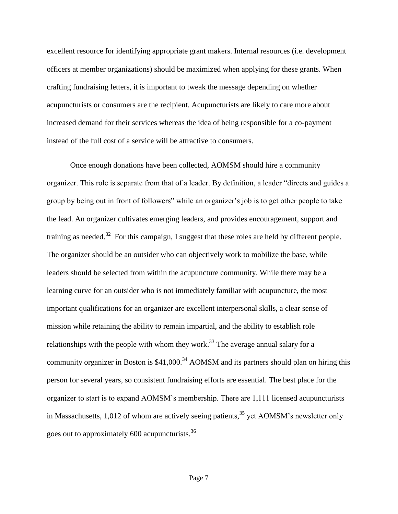excellent resource for identifying appropriate grant makers. Internal resources (i.e. development officers at member organizations) should be maximized when applying for these grants. When crafting fundraising letters, it is important to tweak the message depending on whether acupuncturists or consumers are the recipient. Acupuncturists are likely to care more about increased demand for their services whereas the idea of being responsible for a co-payment instead of the full cost of a service will be attractive to consumers.

Once enough donations have been collected, AOMSM should hire a community organizer. This role is separate from that of a leader. By definition, a leader "directs and guides a group by being out in front of followers" while an organizer's job is to get other people to take the lead. An organizer cultivates emerging leaders, and provides encouragement, support and training as needed.<sup>32</sup> For this campaign, I suggest that these roles are held by different people. The organizer should be an outsider who can objectively work to mobilize the base, while leaders should be selected from within the acupuncture community. While there may be a learning curve for an outsider who is not immediately familiar with acupuncture, the most important qualifications for an organizer are excellent interpersonal skills, a clear sense of mission while retaining the ability to remain impartial, and the ability to establish role relationships with the people with whom they work.<sup>33</sup> The average annual salary for a community organizer in Boston is  $$41,000$ .<sup>34</sup> AOMSM and its partners should plan on hiring this person for several years, so consistent fundraising efforts are essential. The best place for the organizer to start is to expand AOMSM's membership. There are 1,111 licensed acupuncturists in Massachusetts,  $1,012$  of whom are actively seeing patients,<sup>35</sup> yet AOMSM's newsletter only goes out to approximately 600 acupuncturists.<sup>36</sup>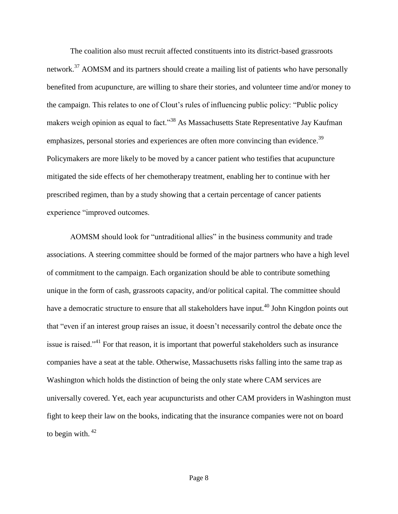The coalition also must recruit affected constituents into its district-based grassroots network.<sup>37</sup> AOMSM and its partners should create a mailing list of patients who have personally benefited from acupuncture, are willing to share their stories, and volunteer time and/or money to the campaign. This relates to one of Clout's rules of influencing public policy: "Public policy makers weigh opinion as equal to fact."<sup>38</sup> As Massachusetts State Representative Jay Kaufman emphasizes, personal stories and experiences are often more convincing than evidence.<sup>39</sup> Policymakers are more likely to be moved by a cancer patient who testifies that acupuncture mitigated the side effects of her chemotherapy treatment, enabling her to continue with her prescribed regimen, than by a study showing that a certain percentage of cancer patients experience "improved outcomes.

AOMSM should look for "untraditional allies" in the business community and trade associations. A steering committee should be formed of the major partners who have a high level of commitment to the campaign. Each organization should be able to contribute something unique in the form of cash, grassroots capacity, and/or political capital. The committee should have a democratic structure to ensure that all stakeholders have input.<sup>40</sup> John Kingdon points out that "even if an interest group raises an issue, it doesn't necessarily control the debate once the issue is raised."<sup>41</sup> For that reason, it is important that powerful stakeholders such as insurance companies have a seat at the table. Otherwise, Massachusetts risks falling into the same trap as Washington which holds the distinction of being the only state where CAM services are universally covered. Yet, each year acupuncturists and other CAM providers in Washington must fight to keep their law on the books, indicating that the insurance companies were not on board to begin with.  $42$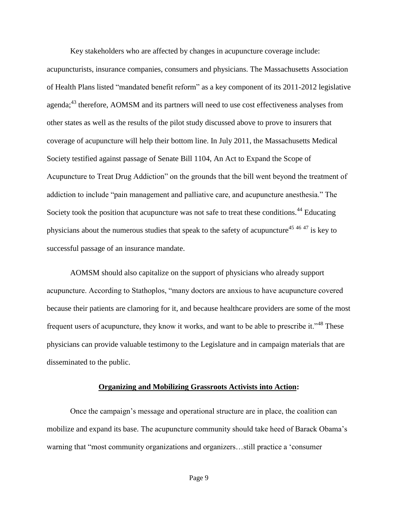Key stakeholders who are affected by changes in acupuncture coverage include: acupuncturists, insurance companies, consumers and physicians. The Massachusetts Association of Health Plans listed "mandated benefit reform" as a key component of its 2011-2012 legislative agenda;<sup>43</sup> therefore, AOMSM and its partners will need to use cost effectiveness analyses from other states as well as the results of the pilot study discussed above to prove to insurers that coverage of acupuncture will help their bottom line. In July 2011, the Massachusetts Medical Society testified against passage of Senate Bill 1104, An Act to Expand the Scope of Acupuncture to Treat Drug Addiction" on the grounds that the bill went beyond the treatment of addiction to include "pain management and palliative care, and acupuncture anesthesia." The Society took the position that acupuncture was not safe to treat these conditions.<sup>44</sup> Educating physicians about the numerous studies that speak to the safety of acupuncture<sup>45 46 47</sup> is key to successful passage of an insurance mandate.

AOMSM should also capitalize on the support of physicians who already support acupuncture. According to Stathoplos, "many doctors are anxious to have acupuncture covered because their patients are clamoring for it, and because healthcare providers are some of the most frequent users of acupuncture, they know it works, and want to be able to prescribe it."<sup>48</sup> These physicians can provide valuable testimony to the Legislature and in campaign materials that are disseminated to the public.

### **Organizing and Mobilizing Grassroots Activists into Action:**

Once the campaign's message and operational structure are in place, the coalition can mobilize and expand its base. The acupuncture community should take heed of Barack Obama's warning that "most community organizations and organizers…still practice a 'consumer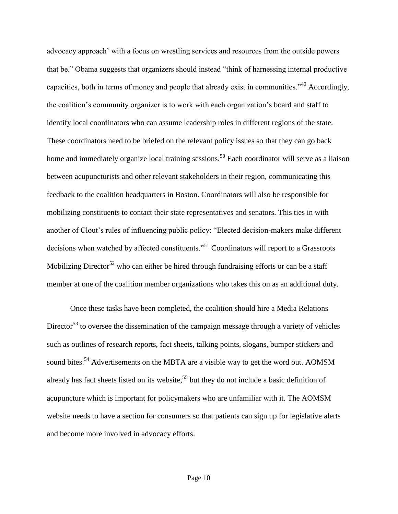advocacy approach' with a focus on wrestling services and resources from the outside powers that be." Obama suggests that organizers should instead "think of harnessing internal productive capacities, both in terms of money and people that already exist in communities."<sup>49</sup> Accordingly, the coalition's community organizer is to work with each organization's board and staff to identify local coordinators who can assume leadership roles in different regions of the state. These coordinators need to be briefed on the relevant policy issues so that they can go back home and immediately organize local training sessions.<sup>50</sup> Each coordinator will serve as a liaison between acupuncturists and other relevant stakeholders in their region, communicating this feedback to the coalition headquarters in Boston. Coordinators will also be responsible for mobilizing constituents to contact their state representatives and senators. This ties in with another of Clout's rules of influencing public policy: "Elected decision-makers make different decisions when watched by affected constituents."<sup>51</sup> Coordinators will report to a Grassroots Mobilizing Director<sup>52</sup> who can either be hired through fundraising efforts or can be a staff member at one of the coalition member organizations who takes this on as an additional duty.

Once these tasks have been completed, the coalition should hire a Media Relations Director<sup>53</sup> to oversee the dissemination of the campaign message through a variety of vehicles such as outlines of research reports, fact sheets, talking points, slogans, bumper stickers and sound bites.<sup>54</sup> Advertisements on the MBTA are a visible way to get the word out. AOMSM already has fact sheets listed on its website,<sup>55</sup> but they do not include a basic definition of acupuncture which is important for policymakers who are unfamiliar with it. The AOMSM website needs to have a section for consumers so that patients can sign up for legislative alerts and become more involved in advocacy efforts.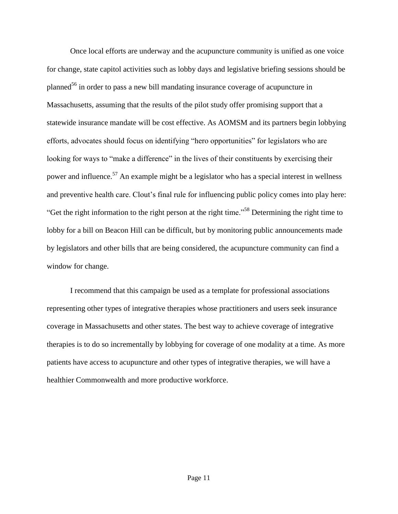Once local efforts are underway and the acupuncture community is unified as one voice for change, state capitol activities such as lobby days and legislative briefing sessions should be planned<sup>56</sup> in order to pass a new bill mandating insurance coverage of acupuncture in Massachusetts, assuming that the results of the pilot study offer promising support that a statewide insurance mandate will be cost effective. As AOMSM and its partners begin lobbying efforts, advocates should focus on identifying "hero opportunities" for legislators who are looking for ways to "make a difference" in the lives of their constituents by exercising their power and influence.<sup>57</sup> An example might be a legislator who has a special interest in wellness and preventive health care. Clout's final rule for influencing public policy comes into play here: "Get the right information to the right person at the right time."<sup>58</sup> Determining the right time to lobby for a bill on Beacon Hill can be difficult, but by monitoring public announcements made by legislators and other bills that are being considered, the acupuncture community can find a window for change.

I recommend that this campaign be used as a template for professional associations representing other types of integrative therapies whose practitioners and users seek insurance coverage in Massachusetts and other states. The best way to achieve coverage of integrative therapies is to do so incrementally by lobbying for coverage of one modality at a time. As more patients have access to acupuncture and other types of integrative therapies, we will have a healthier Commonwealth and more productive workforce.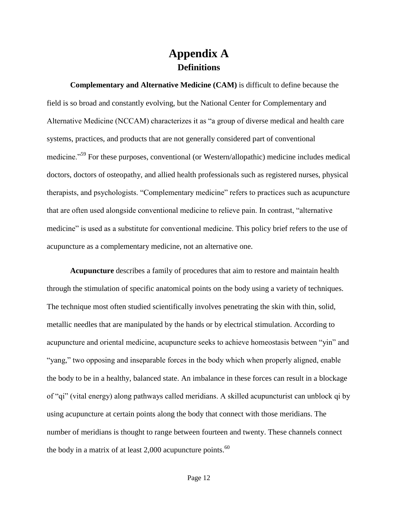# **Appendix A Definitions**

**Complementary and Alternative Medicine (CAM)** is difficult to define because the field is so broad and constantly evolving, but the National Center for Complementary and Alternative Medicine (NCCAM) characterizes it as "a group of diverse medical and health care systems, practices, and products that are not generally considered part of conventional medicine."<sup>59</sup> For these purposes, conventional (or Western/allopathic) medicine includes medical doctors, doctors of osteopathy, and allied health professionals such as registered nurses, physical therapists, and psychologists. "Complementary medicine" refers to practices such as acupuncture that are often used alongside conventional medicine to relieve pain. In contrast, "alternative medicine" is used as a substitute for conventional medicine. This policy brief refers to the use of acupuncture as a complementary medicine, not an alternative one.

**Acupuncture** describes a family of procedures that aim to restore and maintain health through the stimulation of specific anatomical points on the body using a variety of techniques. The technique most often studied scientifically involves penetrating the skin with thin, solid, metallic needles that are manipulated by the hands or by electrical stimulation. According to acupuncture and oriental medicine, acupuncture seeks to achieve homeostasis between "yin" and "yang," two opposing and inseparable forces in the body which when properly aligned, enable the body to be in a healthy, balanced state. An imbalance in these forces can result in a blockage of "qi" (vital energy) along pathways called meridians. A skilled acupuncturist can unblock qi by using acupuncture at certain points along the body that connect with those meridians. The number of meridians is thought to range between fourteen and twenty. These channels connect the body in a matrix of at least  $2,000$  acupuncture points.<sup>60</sup>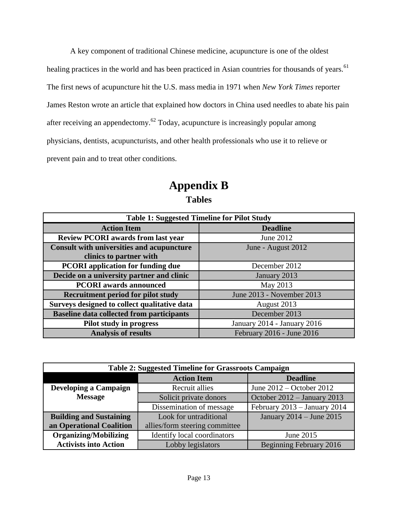A key component of traditional Chinese medicine, acupuncture is one of the oldest healing practices in the world and has been practiced in Asian countries for thousands of years.<sup>61</sup> The first news of acupuncture hit the U.S. mass media in 1971 when *New York Times* reporter James Reston wrote an article that explained how doctors in China used needles to abate his pain after receiving an appendectomy. $62$  Today, acupuncture is increasingly popular among physicians, dentists, acupuncturists, and other health professionals who use it to relieve or prevent pain and to treat other conditions.

# **Appendix B Tables**

| <b>Table 1: Suggested Timeline for Pilot Study</b> |                             |  |
|----------------------------------------------------|-----------------------------|--|
| <b>Action Item</b>                                 | <b>Deadline</b>             |  |
| <b>Review PCORI</b> awards from last year          | June 2012                   |  |
| <b>Consult with universities and acupuncture</b>   | June - August 2012          |  |
| clinics to partner with                            |                             |  |
| <b>PCORI</b> application for funding due           | December 2012               |  |
| Decide on a university partner and clinic          | January 2013                |  |
| <b>PCORI</b> awards announced                      | May 2013                    |  |
| <b>Recruitment period for pilot study</b>          | June 2013 - November 2013   |  |
| Surveys designed to collect qualitative data       | August 2013                 |  |
| <b>Baseline data collected from participants</b>   | December 2013               |  |
| Pilot study in progress                            | January 2014 - January 2016 |  |
| <b>Analysis of results</b>                         | February 2016 - June 2016   |  |

| <b>Table 2: Suggested Timeline for Grassroots Campaign</b> |                                |                              |
|------------------------------------------------------------|--------------------------------|------------------------------|
|                                                            | <b>Action Item</b>             | <b>Deadline</b>              |
| <b>Developing a Campaign</b>                               | Recruit allies                 | June $2012 -$ October $2012$ |
| <b>Message</b>                                             | Solicit private donors         | October 2012 - January 2013  |
|                                                            | Dissemination of message       | February 2013 - January 2014 |
| <b>Building and Sustaining</b>                             | Look for untraditional         | January 2014 – June 2015     |
| an Operational Coalition                                   | allies/form steering committee |                              |
| <b>Organizing/Mobilizing</b>                               | Identify local coordinators    | June 2015                    |
| <b>Activists into Action</b>                               | Lobby legislators              | Beginning February 2016      |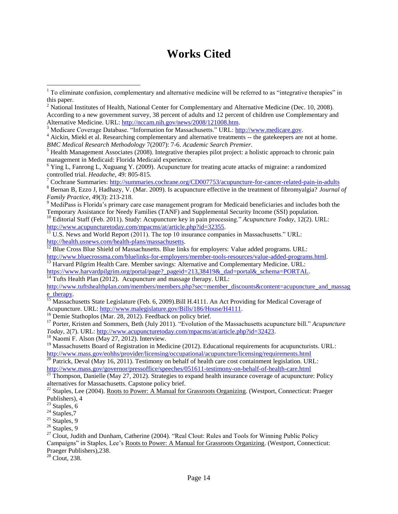# **Works Cited**

<sup>13</sup> Harvard Pilgrim Health Care. Member savings: Alternative and Complementary Medicine. URL: https://www.harvardpilgrim.org/portal/page? pageid=213,38419&\_dad=portal&\_schema=PORTAL.

 $\frac{14}{14}$  Tufts Health Plan (2012). Acupuncture and massage therapy. URL:

[http://www.tuftshealthplan.com/members/members.php?sec=member\\_discounts&content=acupuncture\\_and\\_massag](http://www.tuftshealthplan.com/members/members.php?sec=member_discounts&content=acupuncture_and_massage_therapy) [e\\_therapy.](http://www.tuftshealthplan.com/members/members.php?sec=member_discounts&content=acupuncture_and_massage_therapy)

<sup>15</sup> Massachusetts State Legislature (Feb. 6, 2009).Bill H.4111. An Act Providing for Medical Coverage of Acupuncture. URL: [http://www.malegislature.gov/Bills/186/House/H4111.](http://www.malegislature.gov/Bills/186/House/H4111)

<sup>16</sup> Demie Stathoplos (Mar. 28, 2012). Feedback on policy brief.

<sup>17</sup> Porter, Kristen and Sommers, Beth (July 2011). "Evolution of the Massachusetts acupuncture bill." *Acupuncture Today*, 2(7). URL: [http://www.acupuncturetoday.com/mpacms/at/article.php?id=32423.](http://www.acupuncturetoday.com/mpacms/at/article.php?id=32423)

<sup>18</sup> Naomi F. Alson (May 27, 2012). Interview.

<sup>20</sup> Patrick, Deval (May 16, 2011). Testimony on behalf of health care cost containment legislation. URL: <http://www.mass.gov/governor/pressoffice/speeches/051611-testimony-on-behalf-of-health-care.html>

 $^{21}$  Thompson, Danielle (May 27, 2012). Strategies to expand health insurance coverage of acupuncture: Policy alternatives for Massachusetts. Capstone policy brief.

 $\overline{\phantom{a}}$ 

<sup>28</sup> Clout, 238.

 $1$  To eliminate confusion, complementary and alternative medicine will be referred to as "integrative therapies" in this paper.

<sup>&</sup>lt;sup>2</sup> National Institutes of Health, National Center for Complementary and Alternative Medicine (Dec. 10, 2008). According to a new government survey, 38 percent of adults and 12 percent of children use Complementary and Alternative Medicine. URL: [http://nccam.nih.gov/news/2008/121008.htm.](http://nccam.nih.gov/news/2008/121008.htm)

<sup>3</sup> Medicare Coverage Database. "Information for Massachusetts." URL: [http://www.medicare.gov.](http://www.medicare.gov/)

<sup>&</sup>lt;sup>4</sup> Aickin, Miekl et al. Researching complementary and alternative treatments -- the gatekeepers are not at home. *BMC Medical Research Methodology* 7(2007): 7-6. *Academic Search Premier*.

<sup>&</sup>lt;sup>5</sup> Health Management Associates (2008). Integrative therapies pilot project: a holistic approach to chronic pain management in Medicaid: Florida Medicaid experience.

<sup>6</sup> Ying L, Fanrong L, Xuguang Y. (2009). Acupuncture for treating acute attacks of migraine: a randomized controlled trial. *Headache*, 49: 805-815.

<sup>&</sup>lt;sup>7</sup> Cochrane Summaries:<http://summaries.cochrane.org/CD007753/acupuncture-for-cancer-related-pain-in-adults>

<sup>8</sup> Bernan B, Ezzo J, Hadhazy, V. (Mar. 2009). Is acupuncture effective in the treatment of fibromyalgia? *Journal of Family Practice*, 49(3): 213-218.

<sup>&</sup>lt;sup>9</sup> MediPass is Florida's primary care case management program for Medicaid beneficiaries and includes both the Temporary Assistance for Needy Families (TANF) and Supplemental Security Income (SSI) population.

<sup>10</sup> Editorial Staff (Feb. 2011). Study: Acupuncture key in pain processing." *Acupuncture Today*, 12(2). URL: [http://www.acupuncturetoday.com/mpacms/at/article.php?id=32355.](http://www.acupuncturetoday.com/mpacms/at/article.php?id=32355)

 $\overline{11}$  U.S. News and World Report (2011). The top 10 insurance companies in Massachusetts." URL: [http://health.usnews.com/health-plans/massachusetts.](http://health.usnews.com/health-plans/massachusetts)

<sup>&</sup>lt;sup>12</sup> Blue Cross Blue Shield of Massachusetts. Blue links for employers: Value added programs. URL: [http://www.bluecrossma.com/bluelinks-for-employers/member-tools-resources/value-added-programs.html.](http://www.bluecrossma.com/bluelinks-for-employers/member-tools-resources/value-added-programs.html)

<sup>&</sup>lt;sup>19</sup> Massachusetts Board of Registration in Medicine (2012). Educational requirements for acupuncturists. URL: <http://www.mass.gov/eohhs/provider/licensing/occupational/acupuncture/licensing/requirements.html>

<sup>&</sup>lt;sup>22</sup> Staples, Lee (2004). Roots to Power: A Manual for Grassroots Organizing. (Westport, Connecticut: Praeger Publishers), 4

 $23$  Staples, 6

 $24$  Staples, 7

 $25$  Staples, 9

 $26$  Staples, 9

<sup>&</sup>lt;sup>27</sup> Clout, Judith and Dunham, Catherine (2004). "Real Clout: Rules and Tools for Winning Public Policy Campaigns" in Staples, Lee's Roots to Power: A Manual for Grassroots Organizing. (Westport, Connecticut: Praeger Publishers),238.